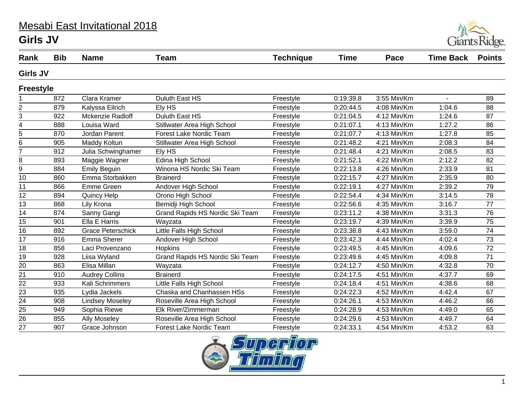## Mesabi East Invitational 2018 **Girls JV**



| Rank             | <b>Bib</b> | <b>Name</b>              | <b>Team</b>                     | <b>Technique</b> | <b>Time</b> | Pace        | <b>Time Back</b> | <b>Points</b> |
|------------------|------------|--------------------------|---------------------------------|------------------|-------------|-------------|------------------|---------------|
| <b>Girls JV</b>  |            |                          |                                 |                  |             |             |                  |               |
| <b>Freestyle</b> |            |                          |                                 |                  |             |             |                  |               |
|                  | 872        | Clara Kramer             | Duluth East HS                  | Freestyle        | 0:19:39.8   | 3:55 Min/Km | $\mathbf{r}$     | 89            |
| $\overline{2}$   | 879        | Kalyssa Eilrich          | Ely HS                          | Freestyle        | 0:20:44.5   | 4:08 Min/Km | 1:04.6           | 88            |
| 3                | 922        | Mckenzie Radloff         | Duluth East HS                  | Freestyle        | 0:21:04.5   | 4:12 Min/Km | 1:24.6           | 87            |
| 4                | 888        | Louisa Ward              | Stillwater Area High School     | Freestyle        | 0:21:07.1   | 4:13 Min/Km | 1:27.2           | 86            |
| 5                | 870        | Jordan Parent            | <b>Forest Lake Nordic Team</b>  | Freestyle        | 0:21:07.7   | 4:13 Min/Km | 1:27.8           | 85            |
| 6                | 905        | Maddy Koltun             | Stillwater Area High School     | Freestyle        | 0:21:48.2   | 4:21 Min/Km | 2:08.3           | 84            |
| $\overline{7}$   | 912        | Julia Schwinghamer       | Ely HS                          | Freestyle        | 0:21:48.4   | 4:21 Min/Km | 2:08.5           | 83            |
| 8                | 893        | Maggie Wagner            | Edina High School               | Freestyle        | 0:21:52.1   | 4:22 Min/Km | 2:12.2           | 82            |
| 9                | 884        | <b>Emily Beguin</b>      | Winona HS Nordic Ski Team       | Freestyle        | 0:22:13.8   | 4:26 Min/Km | 2:33.9           | 81            |
| 10               | 860        | Emma Storbakken          | <b>Brainerd</b>                 | Freestyle        | 0:22:15.7   | 4:27 Min/Km | 2:35.9           | 80            |
| 11               | 866        | <b>Emme Green</b>        | Andover High School             | Freestyle        | 0:22:19.1   | 4:27 Min/Km | 2:39.2           | 79            |
| 12               | 894        | <b>Quincy Help</b>       | Orono High School               | Freestyle        | 0:22:54.4   | 4:34 Min/Km | 3:14.5           | 78            |
| 13               | 868        | Lily Krona               | Bemidji High School             | Freestyle        | 0:22:56.6   | 4:35 Min/Km | 3:16.7           | 77            |
| 14               | 874        | Sanny Gangi              | Grand Rapids HS Nordic Ski Team | Freestyle        | 0:23:11.2   | 4:38 Min/Km | 3:31.3           | 76            |
| 15               | 901        | Ella E Harris            | Wayzata                         | Freestyle        | 0:23:19.7   | 4:39 Min/Km | 3:39.9           | 75            |
| 16               | 892        | <b>Grace Peterschick</b> | Little Falls High School        | Freestyle        | 0:23:38.8   | 4:43 Min/Km | 3:59.0           | 74            |
| 17               | 916        | Emma Sherer              | Andover High School             | Freestyle        | 0:23:42.3   | 4:44 Min/Km | 4:02.4           | 73            |
| 18               | 858        | Laci Provenzano          | Hopkins                         | Freestyle        | 0:23:49.5   | 4:45 Min/Km | 4:09.6           | 72            |
| 19               | 928        | Liisa Wyland             | Grand Rapids HS Nordic Ski Team | Freestyle        | 0:23:49.6   | 4:45 Min/Km | 4:09.8           | 71            |
| 20               | 863        | Elisa Millan             | Wayzata                         | Freestyle        | 0:24:12.7   | 4:50 Min/Km | 4:32.8           | 70            |
| 21               | 910        | <b>Audrey Collins</b>    | <b>Brainerd</b>                 | Freestyle        | 0:24:17.5   | 4:51 Min/Km | 4:37.7           | 69            |
| $\overline{22}$  | 933        | Kali Schrimmers          | Little Falls High School        | Freestyle        | 0:24:18.4   | 4:51 Min/Km | 4:38.6           | 68            |
| 23               | 935        | Lydia Jackels            | Chaska and Chanhassen HSs       | Freestyle        | 0:24:22.3   | 4:52 Min/Km | 4:42.4           | 67            |
| 24               | 908        | <b>Lindsey Moseley</b>   | Roseville Area High School      | Freestyle        | 0:24:26.1   | 4:53 Min/Km | 4:46.2           | 66            |
| 25               | 949        | Sophia Riewe             | Elk River/Zimmerman             | Freestyle        | 0:24:28.9   | 4:53 Min/Km | 4:49.0           | 65            |
| 26               | 855        | <b>Ally Moseley</b>      | Roseville Area High School      | Freestyle        | 0:24:29.6   | 4:53 Min/Km | 4:49.7           | 64            |
| 27               | 907        | Grace Johnson            | <b>Forest Lake Nordic Team</b>  | Freestyle        | 0:24:33.1   | 4:54 Min/Km | 4:53.2           | 63            |

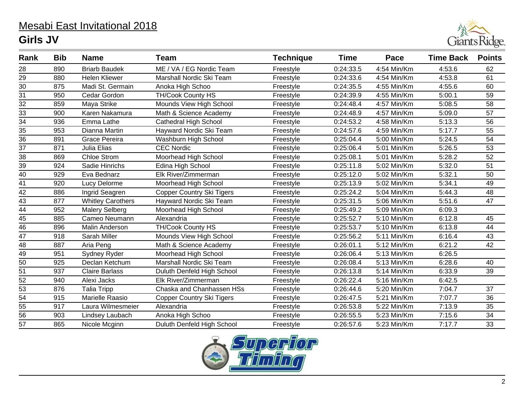## Mesabi East Invitational 2018 **Girls JV**



| Rank            | <b>Bib</b> | <b>Name</b>              | Team                             | <b>Technique</b> | <b>Time</b> | Pace        | <b>Time Back</b> | <b>Points</b> |
|-----------------|------------|--------------------------|----------------------------------|------------------|-------------|-------------|------------------|---------------|
| 28              | 890        | <b>Briarb Baudek</b>     | ME / VA / EG Nordic Team         | Freestyle        | 0:24:33.5   | 4:54 Min/Km | 4:53.6           | 62            |
| 29              | 880        | <b>Helen Kliewer</b>     | Marshall Nordic Ski Team         | Freestyle        | 0:24:33.6   | 4:54 Min/Km | 4:53.8           | 61            |
| 30              | 875        | Madi St. Germain         | Anoka High Schoo                 | Freestyle        | 0:24:35.5   | 4:55 Min/Km | 4:55.6           | 60            |
| 31              | 950        | Cedar Gordon             | <b>TH/Cook County HS</b>         | Freestyle        | 0:24:39.9   | 4:55 Min/Km | 5:00.1           | 59            |
| 32              | 859        | Maya Strike              | Mounds View High School          | Freestyle        | 0:24:48.4   | 4:57 Min/Km | 5:08.5           | 58            |
| 33              | 900        | Karen Nakamura           | Math & Science Academy           | Freestyle        | 0:24:48.9   | 4:57 Min/Km | 5:09.0           | 57            |
| $\overline{34}$ | 936        | Emma Lathe               | <b>Cathedral High School</b>     | Freestyle        | 0:24:53.2   | 4:58 Min/Km | 5:13.3           | 56            |
| 35              | 953        | Dianna Martin            | Hayward Nordic Ski Team          | Freestyle        | 0:24:57.6   | 4:59 Min/Km | 5:17.7           | 55            |
| 36              | 891        | Grace Pereira            | Washburn High School             | Freestyle        | 0:25:04.4   | 5:00 Min/Km | 5:24.5           | 54            |
| $\overline{37}$ | 871        | Julia Elias              | <b>CEC Nordic</b>                | Freestyle        | 0:25:06.4   | 5:01 Min/Km | 5:26.5           | 53            |
| 38              | 869        | <b>Chloe Strom</b>       | Moorhead High School             | Freestyle        | 0:25:08.1   | 5:01 Min/Km | 5:28.2           | 52            |
| 39              | 924        | Sadie Hinrichs           | Edina High School                | Freestyle        | 0:25:11.8   | 5:02 Min/Km | 5:32.0           | 51            |
| $\overline{40}$ | 929        | Eva Bednarz              | Elk River/Zimmerman              | Freestyle        | 0:25:12.0   | 5:02 Min/Km | 5:32.1           | 50            |
| 41              | 920        | Lucy Delorme             | Moorhead High School             | Freestyle        | 0:25:13.9   | 5:02 Min/Km | 5:34.1           | 49            |
| 42              | 886        | Ingrid Seagren           | Copper Country Ski Tigers        | Freestyle        | 0:25:24.2   | 5:04 Min/Km | 5:44.3           | 48            |
| 43              | 877        | <b>Whitley Carothers</b> | Hayward Nordic Ski Team          | Freestyle        | 0:25:31.5   | 5:06 Min/Km | 5:51.6           | 47            |
| $\overline{44}$ | 952        | <b>Malery Selberg</b>    | Moorhead High School             | Freestyle        | 0:25:49.2   | 5:09 Min/Km | 6:09.3           |               |
| 45              | 885        | Cameo Neumann            | Alexandria                       | Freestyle        | 0:25:52.7   | 5:10 Min/Km | 6:12.8           | 45            |
| 46              | 896        | Malin Anderson           | <b>TH/Cook County HS</b>         | Freestyle        | 0:25:53.7   | 5:10 Min/Km | 6:13.8           | 44            |
| 47              | 918        | Sarah Miller             | Mounds View High School          | Freestyle        | 0:25:56.2   | 5:11 Min/Km | 6:16.4           | 43            |
| $\overline{48}$ | 887        | Aria Peng                | Math & Science Academy           | Freestyle        | 0:26:01.1   | 5:12 Min/Km | 6:21.2           | 42            |
| 49              | 951        | Sydney Ryder             | Moorhead High School             | Freestyle        | 0:26:06.4   | 5:13 Min/Km | 6:26.5           |               |
| $\overline{50}$ | 925        | Declan Ketchum           | Marshall Nordic Ski Team         | Freestyle        | 0:26:08.4   | 5:13 Min/Km | 6:28.6           | 40            |
| 51              | 937        | <b>Claire Barlass</b>    | Duluth Denfeld High School       | Freestyle        | 0:26:13.8   | 5:14 Min/Km | 6:33.9           | 39            |
| $\overline{52}$ | 940        | Alexi Jacks              | Elk River/Zimmerman              | Freestyle        | 0:26:22.4   | 5:16 Min/Km | 6:42.5           |               |
| $\frac{53}{54}$ | 876        | <b>Talia Tripp</b>       | Chaska and Chanhassen HSs        | Freestyle        | 0:26:44.6   | 5:20 Min/Km | 7:04.7           | 37            |
|                 | 915        | Marielle Raasio          | <b>Copper Country Ski Tigers</b> | Freestyle        | 0:26:47.5   | 5:21 Min/Km | 7:07.7           | 36            |
| 55              | 917        | Laura Wilmesmeier        | Alexandria                       | Freestyle        | 0:26:53.8   | 5:22 Min/Km | 7:13.9           | 35            |
| $\overline{56}$ | 903        | Lindsey Laubach          | Anoka High Schoo                 | Freestyle        | 0:26:55.5   | 5:23 Min/Km | 7:15.6           | 34            |
| 57              | 865        | Nicole Mcginn            | Duluth Denfeld High School       | Freestyle        | 0:26:57.6   | 5:23 Min/Km | 7:17.7           | 33            |

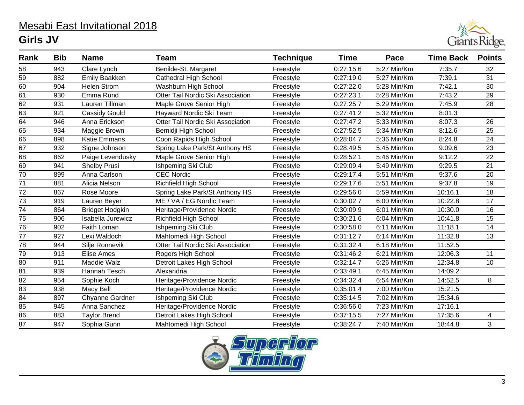## Mesabi East Invitational 2018 **Girls JV**



| Rank            | <b>Bib</b><br><b>Name</b><br><b>Team</b> |                        | <b>Technique</b>                  | <b>Time</b> | Pace      | <b>Time Back</b> | <b>Points</b> |    |
|-----------------|------------------------------------------|------------------------|-----------------------------------|-------------|-----------|------------------|---------------|----|
| 58              | 943                                      | Clare Lynch            | Benilde-St. Margaret              | Freestyle   | 0:27:15.6 | 5:27 Min/Km      | 7:35.7        | 32 |
| 59              | 882                                      | <b>Emily Baakken</b>   | <b>Cathedral High School</b>      | Freestyle   | 0:27:19.0 | 5:27 Min/Km      | 7:39.1        | 31 |
| 60              | 904                                      | <b>Helen Strom</b>     | Washburn High School              | Freestyle   | 0:27:22.0 | 5:28 Min/Km      | 7:42.1        | 30 |
| 61              | 930                                      | Emma Rund              | Otter Tail Nordic Ski Association | Freestyle   | 0:27:23.1 | 5:28 Min/Km      | 7:43.2        | 29 |
| 62              | 931                                      | Lauren Tillman         | Maple Grove Senior High           | Freestyle   | 0:27:25.7 | 5:29 Min/Km      | 7:45.9        | 28 |
| 63              | 921                                      | Cassidy Gould          | Hayward Nordic Ski Team           | Freestyle   | 0:27:41.2 | 5:32 Min/Km      | 8:01.3        |    |
| 64              | 946                                      | Anna Erickson          | Otter Tail Nordic Ski Association | Freestyle   | 0:27:47.2 | 5:33 Min/Km      | 8:07.3        | 26 |
| 65              | 934                                      | Maggie Brown           | Bemidji High School               | Freestyle   | 0:27:52.5 | 5:34 Min/Km      | 8:12.6        | 25 |
| 66              | 898                                      | <b>Katie Emmans</b>    | Coon Rapids High School           | Freestyle   | 0:28:04.7 | 5:36 Min/Km      | 8:24.8        | 24 |
| 67              | 932                                      | Signe Johnson          | Spring Lake Park/St Anthony HS    | Freestyle   | 0:28:49.5 | 5:45 Min/Km      | 9:09.6        | 23 |
| 68              | 862                                      | Paige Levendusky       | Maple Grove Senior High           | Freestyle   | 0:28:52.1 | 5:46 Min/Km      | 9:12.2        | 22 |
| 69              | 941                                      | Shelby Prusi           | Ishpeming Ski Club                | Freestyle   | 0:29:09.4 | 5:49 Min/Km      | 9:29.5        | 21 |
| 70              | 899                                      | Anna Carlson           | <b>CEC Nordic</b>                 | Freestyle   | 0:29:17.4 | 5:51 Min/Km      | 9:37.6        | 20 |
| 71              | 881                                      | Alicia Nelson          | <b>Richfield High School</b>      | Freestyle   | 0:29:17.6 | 5:51 Min/Km      | 9:37.8        | 19 |
| 72              | 867                                      | Rose Moore             | Spring Lake Park/St Anthony HS    | Freestyle   | 0:29:56.0 | 5:59 Min/Km      | 10:16.1       | 18 |
| 73              | 919                                      | Lauren Beyer           | ME / VA / EG Nordic Team          | Freestyle   | 0:30:02.7 | 6:00 Min/Km      | 10:22.8       | 17 |
| $\overline{74}$ | 864                                      | <b>Bridget Hodgkin</b> | Heritage/Providence Nordic        | Freestyle   | 0:30:09.9 | 6:01 Min/Km      | 10:30.0       | 16 |
| 75              | 906                                      | Isabella Jurewicz      | <b>Richfield High School</b>      | Freestyle   | 0:30:21.6 | 6:04 Min/Km      | 10:41.8       | 15 |
| 76              | 902                                      | Faith Loman            | Ishpeming Ski Club                | Freestyle   | 0:30:58.0 | 6:11 Min/Km      | 11:18.1       | 14 |
| 77              | 927                                      | Lexi Waldoch           | Mahtomedi High School             | Freestyle   | 0:31:12.7 | 6:14 Min/Km      | 11:32.8       | 13 |
| $\overline{78}$ | 944                                      | Silje Ronnevik         | Otter Tail Nordic Ski Association | Freestyle   | 0:31:32.4 | 6:18 Min/Km      | 11:52.5       |    |
| 79              | 913                                      | Elise Ames             | Rogers High School                | Freestyle   | 0:31:46.2 | 6:21 Min/Km      | 12:06.3       | 11 |
| $\overline{80}$ | 911                                      | Maddie Walz            | Detroit Lakes High School         | Freestyle   | 0:32:14.7 | 6:26 Min/Km      | 12:34.8       | 10 |
| 81              | 939                                      | Hannah Tesch           | Alexandria                        | Freestyle   | 0:33:49.1 | 6:45 Min/Km      | 14:09.2       |    |
| $\overline{82}$ | 954                                      | Sophie Koch            | Heritage/Providence Nordic        | Freestyle   | 0:34:32.4 | 6:54 Min/Km      | 14:52.5       | 8  |
| 83              | 938                                      | Macy Bell              | Heritage/Providence Nordic        | Freestyle   | 0:35:01.4 | 7:00 Min/Km      | 15:21.5       |    |
| $\overline{84}$ | 897                                      | Chyanne Gardner        | Ishpeming Ski Club                | Freestyle   | 0:35:14.5 | 7:02 Min/Km      | 15:34.6       |    |
| 85              | 945                                      | Anna Sanchez           | Heritage/Providence Nordic        | Freestyle   | 0:36:56.0 | 7:23 Min/Km      | 17:16.1       |    |
| $\overline{86}$ | 883                                      | <b>Taylor Brend</b>    | Detroit Lakes High School         | Freestyle   | 0:37:15.5 | 7:27 Min/Km      | 17:35.6       | 4  |
| 87              | 947                                      | Sophia Gunn            | Mahtomedi High School             | Freestyle   | 0:38:24.7 | 7:40 Min/Km      | 18:44.8       | 3  |